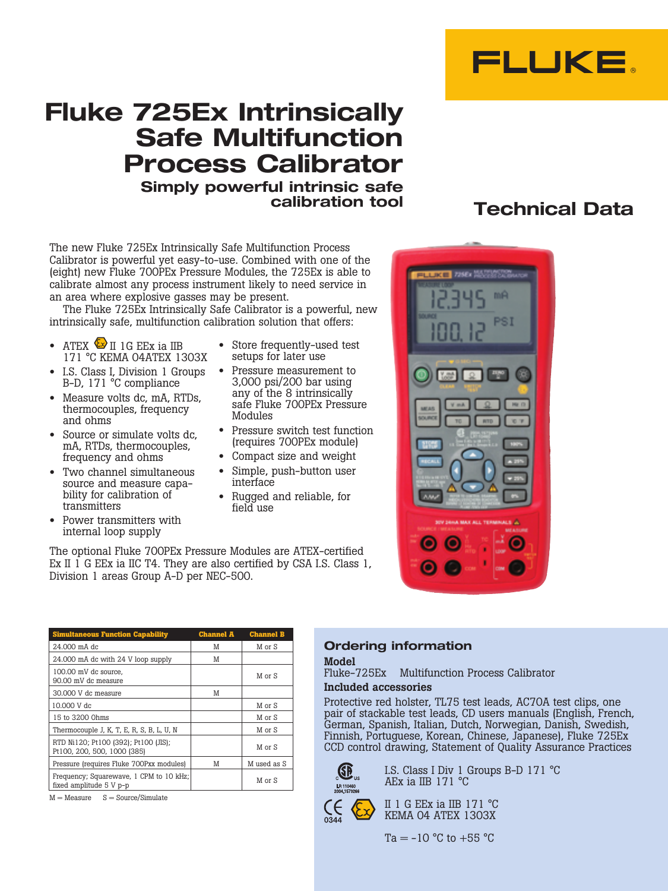

# **Fluke 725Ex Intrinsically Safe Multifunction Process Calibrator Simply powerful intrinsic safe**

The new Fluke 725Ex Intrinsically Safe Multifunction Process Calibrator is powerful yet easy-to-use. Combined with one of the (eight) new Fluke 700PEx Pressure Modules, the 725Ex is able to calibrate almost any process instrument likely to need service in an area where explosive gasses may be present.

The Fluke 725Ex Intrinsically Safe Calibrator is a powerful, new intrinsically safe, multifunction calibration solution that offers:

- ATEX  $\bigcirc$  II 1G EEx ia IIB 171 °C KEMA 04ATEX 1303X
- I.S. Class I, Division 1 Groups B-D, 171 °C compliance
- Measure volts dc, mA, RTDs, thermocouples, frequency and ohms
- Source or simulate volts dc. mA, RTDs, thermocouples, frequency and ohms
- Two channel simultaneous source and measure capability for calibration of transmitters
- Power transmitters with internal loop supply
- Store frequently-used test setups for later use
- Pressure measurement to 3,000 psi/200 bar using any of the 8 intrinsically safe Fluke 700PEx Pressure Modules
- Pressure switch test function (requires 700PEx module)
- Compact size and weight
- Simple, push-button user interface
- Rugged and reliable, for field use

The optional Fluke 700PEx Pressure Modules are ATEX-certified Ex II  $\overline{1}$  G EEx ia IIC T4. They are also certified by CSA I.S. Class 1, Division 1 areas Group A-D per NEC-500.

| <b>Simultaneous Function Capability</b>                             | <b>Channel A</b> | <b>Channel B</b> |
|---------------------------------------------------------------------|------------------|------------------|
| 24,000 mA dc                                                        | M                | M or S           |
| 24.000 mA dc with 24 V loop supply                                  | M                |                  |
| 100.00 mV dc source,<br>90.00 mV dc measure                         |                  | M or S           |
| 30,000 V dc measure                                                 | M                |                  |
| 10,000 V dc                                                         |                  | M or S           |
| 15 to 3200 0hms                                                     |                  | M or S           |
| Thermocouple J, K, T, E, R, S, B, L, U, N                           |                  | M or S           |
| RTD Ni120; Pt100 (392); Pt100 (JIS);<br>Pt100, 200, 500, 1000 (385) |                  | M or S           |
| Pressure (requires Fluke 700Pxx modules)                            | M                | M used as S      |
| Frequency; Squarewave, 1 CPM to 10 kHz;<br>fixed amplitude 5 V p-p  |                  | M or S           |

 $M = Measure$   $S = Source/Simulate$ 

### **Ordering information**

#### Model

Fluke-725Ex Multifunction Process Calibrator

#### Included accessories

Protective red holster, TL75 test leads, AC70A test clips, one pair of stackable test leads, CD users manuals (English, French, German, Spanish, Italian, Dutch, Norwegian, Danish, Swedish, Finnish, Portuguese, Korean, Chinese, Japanese), Fluke 725Ex CCD control drawing, Statement of Quality Assurance Practices



I.S. Class I Div 1 Groups B-D 171 °C AEx ia IIB 171 °C

II 1 G EEx ia IIB 171 °C KEMA 04 ATEX 1303X

 $Ta = -10 °C$  to  $+55 °C$ 

## **calibration tool Technical Data**